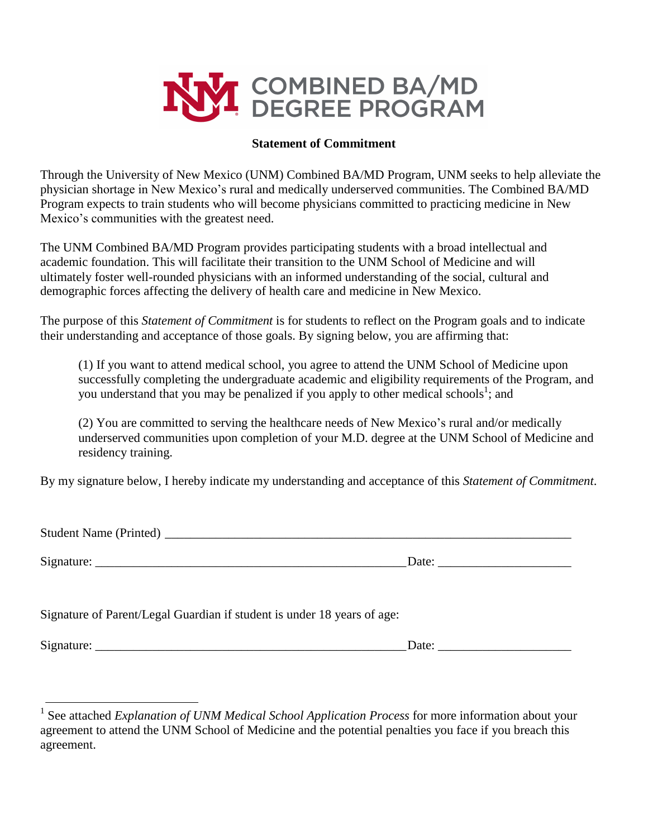

## **Statement of Commitment**

Through the University of New Mexico (UNM) Combined BA/MD Program, UNM seeks to help alleviate the physician shortage in New Mexico's rural and medically underserved communities. The Combined BA/MD Program expects to train students who will become physicians committed to practicing medicine in New Mexico's communities with the greatest need.

The UNM Combined BA/MD Program provides participating students with a broad intellectual and academic foundation. This will facilitate their transition to the UNM School of Medicine and will ultimately foster well-rounded physicians with an informed understanding of the social, cultural and demographic forces affecting the delivery of health care and medicine in New Mexico.

The purpose of this *Statement of Commitment* is for students to reflect on the Program goals and to indicate their understanding and acceptance of those goals. By signing below, you are affirming that:

(1) If you want to attend medical school, you agree to attend the UNM School of Medicine upon successfully completing the undergraduate academic and eligibility requirements of the Program, and you understand that you may be penalized if you apply to other medical schools<sup>1</sup>; and

(2) You are committed to serving the healthcare needs of New Mexico's rural and/or medically underserved communities upon completion of your M.D. degree at the UNM School of Medicine and residency training.

By my signature below, I hereby indicate my understanding and acceptance of this *Statement of Commitment*.

| <b>Student Name (Printed)</b> |       |
|-------------------------------|-------|
|                               |       |
| Signature:                    | Date: |

Signature of Parent/Legal Guardian if student is under 18 years of age:

Signature:  $\Box$ 

| Date: |  |  |  |  |
|-------|--|--|--|--|
|       |  |  |  |  |

<sup>&</sup>lt;sup>1</sup> See attached *Explanation of UNM Medical School Application Process* for more information about your agreement to attend the UNM School of Medicine and the potential penalties you face if you breach this agreement.